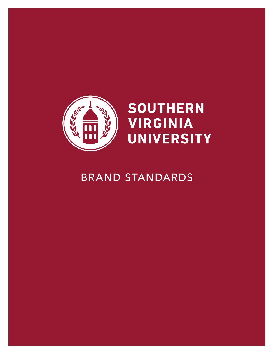

### BRAND STANDARDS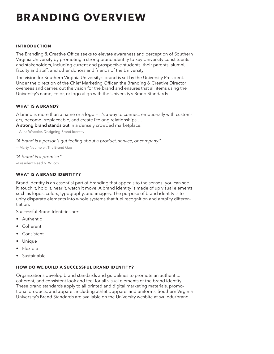### **BRANDING OVERVIEW**

### **INTRODUCTION**

The Branding & Creative Office seeks to elevate awareness and perception of Southern Virginia University by promoting a strong brand identity to key University constituents and stakeholders, including current and prospective students, their parents, alumni, faculty and staff, and other donors and friends of the University.

The vision for Southern Virginia University's brand is set by the University President. Under the direction of the Chief Marketing Officer, the Branding & Creative Director oversees and carries out the vision for the brand and ensures that all items using the University's name, color, or logo align with the University's Brand Standards.

### **WHAT IS A BRAND?**

A brand is more than a name or a logo – it's a way to connect emotionally with customers, become irreplaceable, and create lifelong relationships ... A strong brand stands out in a densely crowded marketplace.

- Alina Wheeler, Designing Brand Identity

"A brand is a person's gut feeling about a product, service, or company."

-- Marty Neumeier, The Brand Gap

### "A brand is a promise."

-President Reed N. Wilcox.

### **WHAT IS A BRAND IDENTITY?**

Brand identity is an essential part of branding that appeals to the senses-you can see it, touch it, hold it, hear it, watch it move. A brand identity is made of up visual elements such as logos, colors, typography, and imagery. The purpose of brand identity is to unify disparate elements into whole systems that fuel recognition and amplify differentiation.

Successful Brand Identities are:

- Authentic
- Coherent
- Consistent
- Unique
- Flexible
- Sustainable

### HOW DO WE BUILD A SUCCESSFUL BRAND IDENTITY?

Organizations develop brand standards and guidelines to promote an authentic, coherent, and consistent look and feel for all visual elements of the brand identity. These brand standards apply to all printed and digital marketing materials, promotional products, and apparel, including athletic apparel and uniforms. Southern Virginia University's Brand Standards are available on the University wesbite at svu.edu/brand.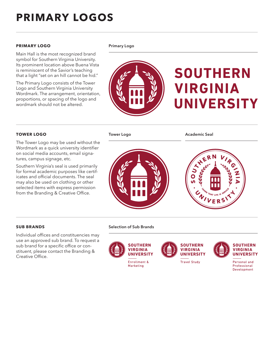### **PRIMARY LOGOS**

### **PRIMARY LOGO** Primary Logo

Main Hall is the most recognized brand symbol for Southern Virginia University. Its prominent location above Buena Vista is reminiscent of the Savior's teaching that a light "set on an hill cannot be hid."

The Primary Logo consists of the Tower Logo and Southern Virginia University Wordmark. The arrangement, orientation, proportions, or spacing of the logo and wordmark should not be altered.

## **SOUTHERN VIRGINIA UNIVERSITY**

### **TOWER LOGO**

The Tower Logo may be used without the Wordmark as a quick university identifier on social media accounts, email signatures, campus signage, etc.

Southern Virginia's seal is used primarily for formal academic purposes like certificates and official documents. The seal may also be used on clothing or other selected items with express permission from the Branding & Creative Office.

Tower Logo

Academic Seal



### **SUB BRANDS**

Individual offices and constituencies may use an approved sub brand. To request a sub brand for a specific office or constituent, please contact the Branding & Creative Office.

Selection of Sub Brands



Marketing





**SOUTHERN VIRGINIA UNIVERSITY** 

Personal and Professional Development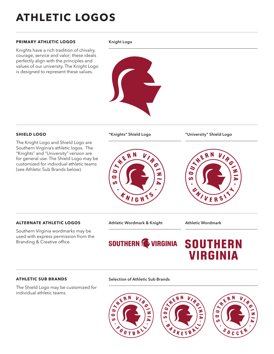### **ATHLETIC LOGOS**

### **PRIMARY ATHLETIC LOGOS**

Knights have a rich tradition of chivalry, courage, service and valor; these ideals perfectly align with the principles and values of our university. The Knight Logo is designed to represent these values.

#### Knight Logo



### **SHIELD LOGO**

The Knight Logo and Shield Logo are Southern Virginia's athletic logos. The "Knights" and "University" version are for general use. The Shield Logo may be customized for individual athletic teams (see Athletic Sub Brands below).

# $\boldsymbol{R}$ Ł WIGH

"Knights" Shield Logo "University" Shield Logo



### **ALTERNATE ATHLETIC LOGOS**

Southern Virginia wordmarks may be used with express permission from the Branding & Creative office.

### Athletic Wordmark & Knight Athletic Wordmark

### SOUTHERN SE VIRGINIA

### **SOUTHERN** VIRGINIA

### **ATHLETIC SUB BRANDS**

The Shield Logo may be customized for individual athletic teams.

### Selection of Athletic Sub Brands

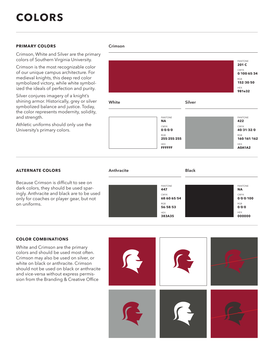### **PRIMARY COLORS**

Crimson, White and Silver are the primary colors of Southern Virginia University.

Crimson is the most recognizable color of our unique campus architecture. For medieval knights, this deep red color symbolized victory, while white symbolized the ideals of perfection and purity.

Silver conjures imagery of a knight's shining armor. Historically, grey or silver symbolized balance and justice. Today, the color represents modernity, solidity, and strength.

Athletic uniforms should only use the University's primary colors.

#### Crimson



### **ALTERNATE COLORS**

Because Crimson is difficult to see on dark colors, they should be used sparingly. Anthracite and black are to be used only for coaches or player gear, but not on uniforms.



Anthracite **Black** 

### **COLOR COMBINATIONS**

White and Crimson are the primary colors and should be used most often. Crimson may also be used on silver, or white on black or anthracite. Crimson should not be used on black or anthracite and vice-versa without express permission from the Branding & Creative Office

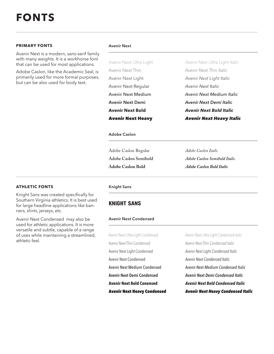### **PRIMARY FONTS**

Avenir Next is a modern, sans-serif family with many weights. It is a workhorse font that can be used for most applications.

Adobe Caslon, like the Academic Seal, is primarily used for more formal purposes, but can be also used for body text.

#### Avenir Next

Avenir Next Ultra Light Avenir Next Thin Avenir Next Light Avenir Next Regular Avenir Next Medium Avenir Next Demi **Avenir Next Bold** Avenir Next Heavy

Avenir Next Ultra Light Italic Avenir Next Thin Italic Avenir Next Light Italic Avenir Next Italic Avenir Next Medium Italic Avenir Next Demi Italic **Avenir Next Bold Italic** Avenir Next Heavy Italic

#### Adobe Caslon

Adobe Caslon Regular **Adobe Caslon Semibold Adobe Caslon Bold**

*Adobe Caslon Italic Adobe Caslon Semibold Italic Adobe Caslon Bold Italic*

### **ATHLETIC FONTS**

Knight Sans was created specifically for Southern Virginia athletics. It is best used for large headline applications like banners, shirts, jerseys, etc.

Avenir Next Condensed may also be used for athletic applications. It is more versatile and subtle, capable of a range of uses while maintaining a streamlined, athletic feel.

#### Knight Sans

### KNIGHT SANS

### Avenir Next Condensed

Avenir Next Ultra Light Condensed Avenir Next Thin Condensed Avenir Next Light Condensed Avenir Next Condensed Avenir Next Medium Condensed Avenir Next Demi Condensed **Avenir Next Bold Conensed** Avenir Next Heavy Condensed Avenir Next Ultra Light Condensed Italic Avenir Next Thin Condensed Italic Avenir Next Light Condensed Italic Avenir Next Condensed Italic Avenir Next Medium Condensed Italic Avenir Next Demi Condensed Italic **Avenir Next Bold Condensed Italic** Avenir Next Heavy Condensed Italic